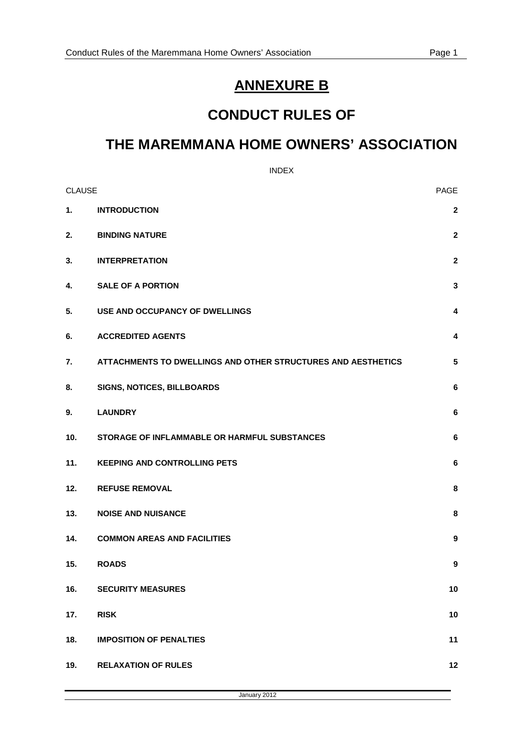# **ANNEXURE B**

# **CONDUCT RULES OF**

# **THE MAREMMANA HOME OWNERS' ASSOCIATION**

INDEX

| <b>CLAUSE</b> |                                                              | PAGE             |
|---------------|--------------------------------------------------------------|------------------|
| 1.            | <b>INTRODUCTION</b>                                          | $\mathbf{2}$     |
| 2.            | <b>BINDING NATURE</b>                                        | $\mathbf{2}$     |
| 3.            | <b>INTERPRETATION</b>                                        | $\mathbf{2}$     |
| 4.            | <b>SALE OF A PORTION</b>                                     | 3                |
| 5.            | USE AND OCCUPANCY OF DWELLINGS                               | 4                |
| 6.            | <b>ACCREDITED AGENTS</b>                                     | 4                |
| 7.            | ATTACHMENTS TO DWELLINGS AND OTHER STRUCTURES AND AESTHETICS | $5\phantom{.0}$  |
| 8.            | SIGNS, NOTICES, BILLBOARDS                                   | 6                |
| 9.            | <b>LAUNDRY</b>                                               | 6                |
| 10.           | STORAGE OF INFLAMMABLE OR HARMFUL SUBSTANCES                 | $\bf 6$          |
| 11.           | <b>KEEPING AND CONTROLLING PETS</b>                          | 6                |
| 12.           | <b>REFUSE REMOVAL</b>                                        | 8                |
| 13.           | <b>NOISE AND NUISANCE</b>                                    | 8                |
| 14.           | <b>COMMON AREAS AND FACILITIES</b>                           | 9                |
| 15.           | <b>ROADS</b>                                                 | $\boldsymbol{9}$ |
| 16.           | <b>SECURITY MEASURES</b>                                     | 10               |
| 17.           | <b>RISK</b>                                                  | 10               |
| 18.           | <b>IMPOSITION OF PENALTIES</b>                               | 11               |
| 19.           | <b>RELAXATION OF RULES</b>                                   | 12               |

January 2012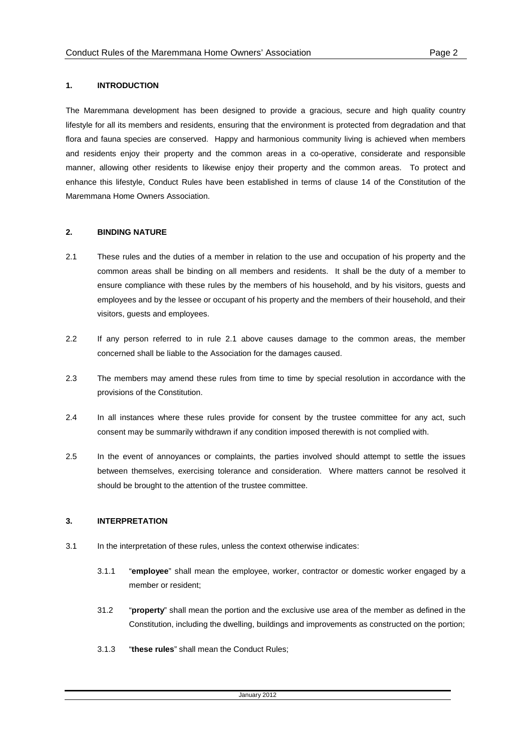## **1. INTRODUCTION**

The Maremmana development has been designed to provide a gracious, secure and high quality country lifestyle for all its members and residents, ensuring that the environment is protected from degradation and that flora and fauna species are conserved. Happy and harmonious community living is achieved when members and residents enjoy their property and the common areas in a co-operative, considerate and responsible manner, allowing other residents to likewise enjoy their property and the common areas. To protect and enhance this lifestyle, Conduct Rules have been established in terms of clause 14 of the Constitution of the Maremmana Home Owners Association.

## **2. BINDING NATURE**

- 2.1 These rules and the duties of a member in relation to the use and occupation of his property and the common areas shall be binding on all members and residents. It shall be the duty of a member to ensure compliance with these rules by the members of his household, and by his visitors, guests and employees and by the lessee or occupant of his property and the members of their household, and their visitors, guests and employees.
- 2.2 If any person referred to in rule 2.1 above causes damage to the common areas, the member concerned shall be liable to the Association for the damages caused.
- 2.3 The members may amend these rules from time to time by special resolution in accordance with the provisions of the Constitution.
- 2.4 In all instances where these rules provide for consent by the trustee committee for any act, such consent may be summarily withdrawn if any condition imposed therewith is not complied with.
- 2.5 In the event of annoyances or complaints, the parties involved should attempt to settle the issues between themselves, exercising tolerance and consideration. Where matters cannot be resolved it should be brought to the attention of the trustee committee.

## **3. INTERPRETATION**

- 3.1 In the interpretation of these rules, unless the context otherwise indicates:
	- 3.1.1 "**employee**" shall mean the employee, worker, contractor or domestic worker engaged by a member or resident;
	- 31.2 "**property**" shall mean the portion and the exclusive use area of the member as defined in the Constitution, including the dwelling, buildings and improvements as constructed on the portion;
	- 3.1.3 "**these rules**" shall mean the Conduct Rules;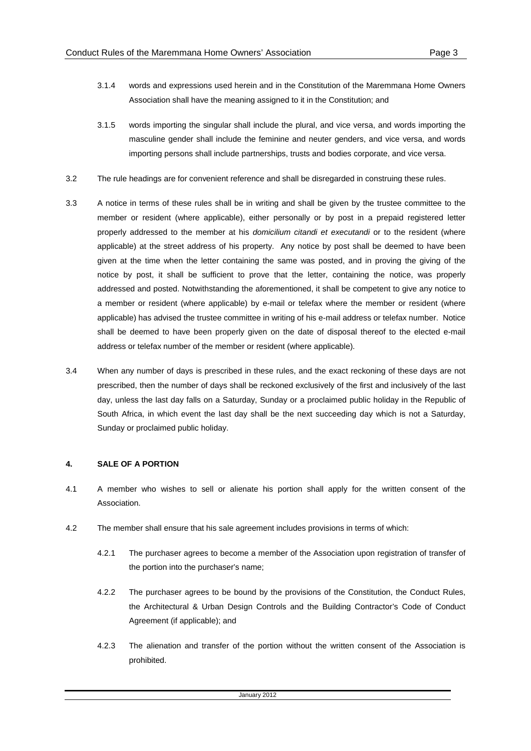- 
- 3.1.4 words and expressions used herein and in the Constitution of the Maremmana Home Owners Association shall have the meaning assigned to it in the Constitution; and
- 3.1.5 words importing the singular shall include the plural, and vice versa, and words importing the masculine gender shall include the feminine and neuter genders, and vice versa, and words importing persons shall include partnerships, trusts and bodies corporate, and vice versa.
- 3.2 The rule headings are for convenient reference and shall be disregarded in construing these rules.
- 3.3 A notice in terms of these rules shall be in writing and shall be given by the trustee committee to the member or resident (where applicable), either personally or by post in a prepaid registered letter properly addressed to the member at his domicilium citandi et executandi or to the resident (where applicable) at the street address of his property. Any notice by post shall be deemed to have been given at the time when the letter containing the same was posted, and in proving the giving of the notice by post, it shall be sufficient to prove that the letter, containing the notice, was properly addressed and posted. Notwithstanding the aforementioned, it shall be competent to give any notice to a member or resident (where applicable) by e-mail or telefax where the member or resident (where applicable) has advised the trustee committee in writing of his e-mail address or telefax number. Notice shall be deemed to have been properly given on the date of disposal thereof to the elected e-mail address or telefax number of the member or resident (where applicable).
- 3.4 When any number of days is prescribed in these rules, and the exact reckoning of these days are not prescribed, then the number of days shall be reckoned exclusively of the first and inclusively of the last day, unless the last day falls on a Saturday, Sunday or a proclaimed public holiday in the Republic of South Africa, in which event the last day shall be the next succeeding day which is not a Saturday, Sunday or proclaimed public holiday.

## **4. SALE OF A PORTION**

- 4.1 A member who wishes to sell or alienate his portion shall apply for the written consent of the Association.
- 4.2 The member shall ensure that his sale agreement includes provisions in terms of which:
	- 4.2.1 The purchaser agrees to become a member of the Association upon registration of transfer of the portion into the purchaser's name;
	- 4.2.2 The purchaser agrees to be bound by the provisions of the Constitution, the Conduct Rules, the Architectural & Urban Design Controls and the Building Contractor's Code of Conduct Agreement (if applicable); and
	- 4.2.3 The alienation and transfer of the portion without the written consent of the Association is prohibited.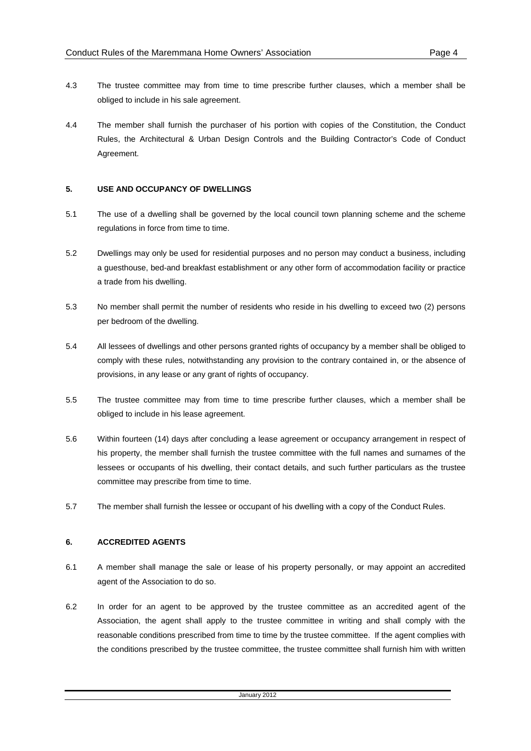- 
- 4.3 The trustee committee may from time to time prescribe further clauses, which a member shall be obliged to include in his sale agreement.
- 4.4 The member shall furnish the purchaser of his portion with copies of the Constitution, the Conduct Rules, the Architectural & Urban Design Controls and the Building Contractor's Code of Conduct Agreement.

## **5. USE AND OCCUPANCY OF DWELLINGS**

- 5.1 The use of a dwelling shall be governed by the local council town planning scheme and the scheme regulations in force from time to time.
- 5.2 Dwellings may only be used for residential purposes and no person may conduct a business, including a guesthouse, bed-and breakfast establishment or any other form of accommodation facility or practice a trade from his dwelling.
- 5.3 No member shall permit the number of residents who reside in his dwelling to exceed two (2) persons per bedroom of the dwelling.
- 5.4 All lessees of dwellings and other persons granted rights of occupancy by a member shall be obliged to comply with these rules, notwithstanding any provision to the contrary contained in, or the absence of provisions, in any lease or any grant of rights of occupancy.
- 5.5 The trustee committee may from time to time prescribe further clauses, which a member shall be obliged to include in his lease agreement.
- 5.6 Within fourteen (14) days after concluding a lease agreement or occupancy arrangement in respect of his property, the member shall furnish the trustee committee with the full names and surnames of the lessees or occupants of his dwelling, their contact details, and such further particulars as the trustee committee may prescribe from time to time.
- 5.7 The member shall furnish the lessee or occupant of his dwelling with a copy of the Conduct Rules.

## **6. ACCREDITED AGENTS**

- 6.1 A member shall manage the sale or lease of his property personally, or may appoint an accredited agent of the Association to do so.
- 6.2 In order for an agent to be approved by the trustee committee as an accredited agent of the Association, the agent shall apply to the trustee committee in writing and shall comply with the reasonable conditions prescribed from time to time by the trustee committee. If the agent complies with the conditions prescribed by the trustee committee, the trustee committee shall furnish him with written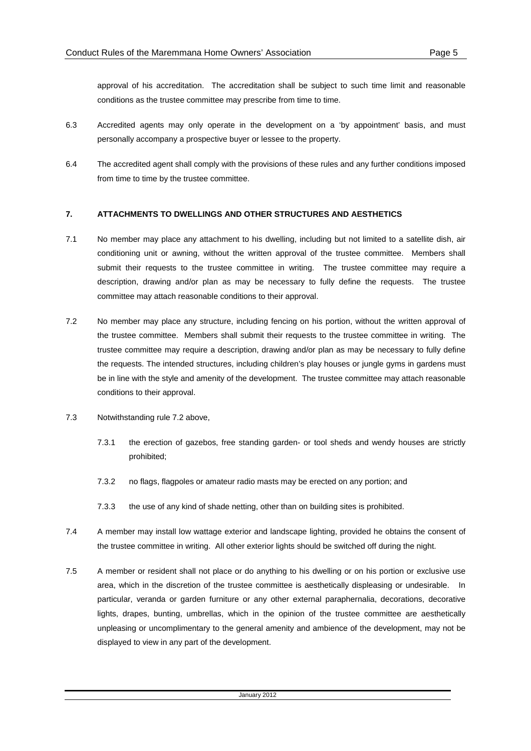approval of his accreditation. The accreditation shall be subject to such time limit and reasonable conditions as the trustee committee may prescribe from time to time.

- 6.3 Accredited agents may only operate in the development on a 'by appointment' basis, and must personally accompany a prospective buyer or lessee to the property.
- 6.4 The accredited agent shall comply with the provisions of these rules and any further conditions imposed from time to time by the trustee committee.

## **7. ATTACHMENTS TO DWELLINGS AND OTHER STRUCTURES AND AESTHETICS**

- 7.1 No member may place any attachment to his dwelling, including but not limited to a satellite dish, air conditioning unit or awning, without the written approval of the trustee committee. Members shall submit their requests to the trustee committee in writing. The trustee committee may require a description, drawing and/or plan as may be necessary to fully define the requests. The trustee committee may attach reasonable conditions to their approval.
- 7.2 No member may place any structure, including fencing on his portion, without the written approval of the trustee committee. Members shall submit their requests to the trustee committee in writing. The trustee committee may require a description, drawing and/or plan as may be necessary to fully define the requests. The intended structures, including children's play houses or jungle gyms in gardens must be in line with the style and amenity of the development. The trustee committee may attach reasonable conditions to their approval.
- 7.3 Notwithstanding rule 7.2 above,
	- 7.3.1 the erection of gazebos, free standing garden- or tool sheds and wendy houses are strictly prohibited;
	- 7.3.2 no flags, flagpoles or amateur radio masts may be erected on any portion; and
	- 7.3.3 the use of any kind of shade netting, other than on building sites is prohibited.
- 7.4 A member may install low wattage exterior and landscape lighting, provided he obtains the consent of the trustee committee in writing. All other exterior lights should be switched off during the night.
- 7.5 A member or resident shall not place or do anything to his dwelling or on his portion or exclusive use area, which in the discretion of the trustee committee is aesthetically displeasing or undesirable. In particular, veranda or garden furniture or any other external paraphernalia, decorations, decorative lights, drapes, bunting, umbrellas, which in the opinion of the trustee committee are aesthetically unpleasing or uncomplimentary to the general amenity and ambience of the development, may not be displayed to view in any part of the development.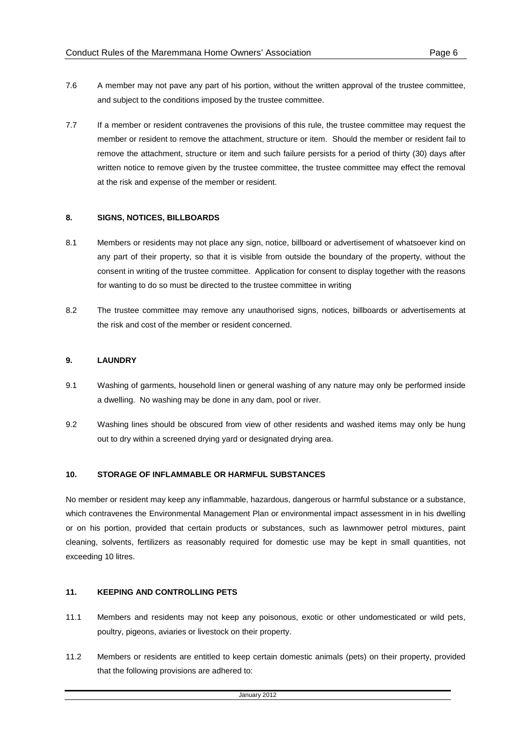- 7.6 A member may not pave any part of his portion, without the written approval of the trustee committee, and subject to the conditions imposed by the trustee committee.
- 7.7 If a member or resident contravenes the provisions of this rule, the trustee committee may request the member or resident to remove the attachment, structure or item. Should the member or resident fail to remove the attachment, structure or item and such failure persists for a period of thirty (30) days after written notice to remove given by the trustee committee, the trustee committee may effect the removal at the risk and expense of the member or resident.

### **8. SIGNS, NOTICES, BILLBOARDS**

- 8.1 Members or residents may not place any sign, notice, billboard or advertisement of whatsoever kind on any part of their property, so that it is visible from outside the boundary of the property, without the consent in writing of the trustee committee. Application for consent to display together with the reasons for wanting to do so must be directed to the trustee committee in writing
- 8.2 The trustee committee may remove any unauthorised signs, notices, billboards or advertisements at the risk and cost of the member or resident concerned.

#### **9. LAUNDRY**

- 9.1 Washing of garments, household linen or general washing of any nature may only be performed inside a dwelling. No washing may be done in any dam, pool or river.
- 9.2 Washing lines should be obscured from view of other residents and washed items may only be hung out to dry within a screened drying yard or designated drying area.

## **10. STORAGE OF INFLAMMABLE OR HARMFUL SUBSTANCES**

No member or resident may keep any inflammable, hazardous, dangerous or harmful substance or a substance, which contravenes the Environmental Management Plan or environmental impact assessment in in his dwelling or on his portion, provided that certain products or substances, such as lawnmower petrol mixtures, paint cleaning, solvents, fertilizers as reasonably required for domestic use may be kept in small quantities, not exceeding 10 litres.

## **11. KEEPING AND CONTROLLING PETS**

- 11.1 Members and residents may not keep any poisonous, exotic or other undomesticated or wild pets, poultry, pigeons, aviaries or livestock on their property.
- 11.2 Members or residents are entitled to keep certain domestic animals (pets) on their property, provided that the following provisions are adhered to: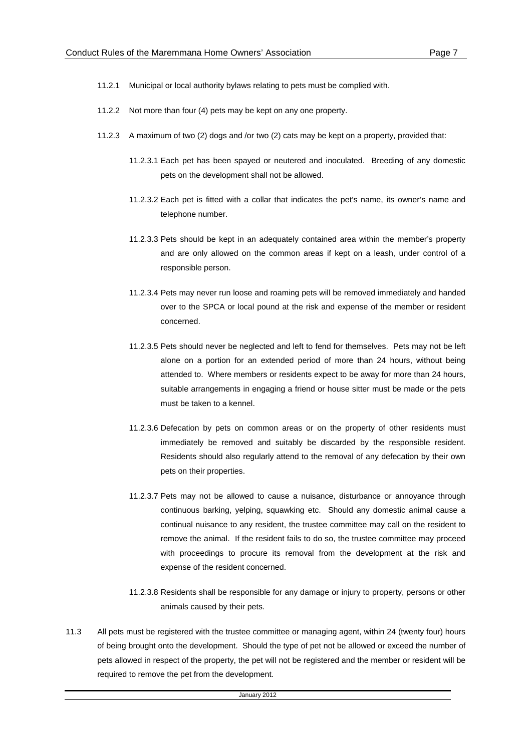- 11.2.1 Municipal or local authority bylaws relating to pets must be complied with.
- 11.2.2 Not more than four (4) pets may be kept on any one property.
- 11.2.3 A maximum of two (2) dogs and /or two (2) cats may be kept on a property, provided that:
	- 11.2.3.1 Each pet has been spayed or neutered and inoculated. Breeding of any domestic pets on the development shall not be allowed.
	- 11.2.3.2 Each pet is fitted with a collar that indicates the pet's name, its owner's name and telephone number.
	- 11.2.3.3 Pets should be kept in an adequately contained area within the member's property and are only allowed on the common areas if kept on a leash, under control of a responsible person.
	- 11.2.3.4 Pets may never run loose and roaming pets will be removed immediately and handed over to the SPCA or local pound at the risk and expense of the member or resident concerned.
	- 11.2.3.5 Pets should never be neglected and left to fend for themselves. Pets may not be left alone on a portion for an extended period of more than 24 hours, without being attended to. Where members or residents expect to be away for more than 24 hours, suitable arrangements in engaging a friend or house sitter must be made or the pets must be taken to a kennel.
	- 11.2.3.6 Defecation by pets on common areas or on the property of other residents must immediately be removed and suitably be discarded by the responsible resident. Residents should also regularly attend to the removal of any defecation by their own pets on their properties.
	- 11.2.3.7 Pets may not be allowed to cause a nuisance, disturbance or annoyance through continuous barking, yelping, squawking etc. Should any domestic animal cause a continual nuisance to any resident, the trustee committee may call on the resident to remove the animal. If the resident fails to do so, the trustee committee may proceed with proceedings to procure its removal from the development at the risk and expense of the resident concerned.
	- 11.2.3.8 Residents shall be responsible for any damage or injury to property, persons or other animals caused by their pets.
- 11.3 All pets must be registered with the trustee committee or managing agent, within 24 (twenty four) hours of being brought onto the development. Should the type of pet not be allowed or exceed the number of pets allowed in respect of the property, the pet will not be registered and the member or resident will be required to remove the pet from the development.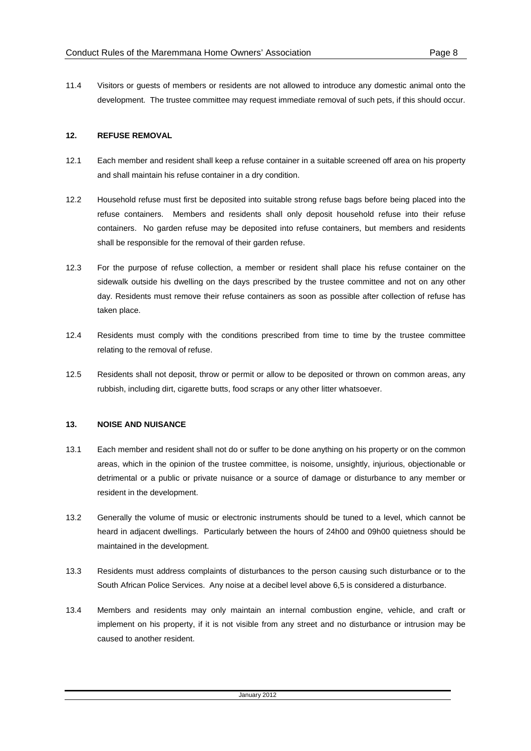11.4 Visitors or guests of members or residents are not allowed to introduce any domestic animal onto the development. The trustee committee may request immediate removal of such pets, if this should occur.

### **12. REFUSE REMOVAL**

- 12.1 Each member and resident shall keep a refuse container in a suitable screened off area on his property and shall maintain his refuse container in a dry condition.
- 12.2 Household refuse must first be deposited into suitable strong refuse bags before being placed into the refuse containers. Members and residents shall only deposit household refuse into their refuse containers. No garden refuse may be deposited into refuse containers, but members and residents shall be responsible for the removal of their garden refuse.
- 12.3 For the purpose of refuse collection, a member or resident shall place his refuse container on the sidewalk outside his dwelling on the days prescribed by the trustee committee and not on any other day. Residents must remove their refuse containers as soon as possible after collection of refuse has taken place.
- 12.4 Residents must comply with the conditions prescribed from time to time by the trustee committee relating to the removal of refuse.
- 12.5 Residents shall not deposit, throw or permit or allow to be deposited or thrown on common areas, any rubbish, including dirt, cigarette butts, food scraps or any other litter whatsoever.

## **13. NOISE AND NUISANCE**

- 13.1 Each member and resident shall not do or suffer to be done anything on his property or on the common areas, which in the opinion of the trustee committee, is noisome, unsightly, injurious, objectionable or detrimental or a public or private nuisance or a source of damage or disturbance to any member or resident in the development.
- 13.2 Generally the volume of music or electronic instruments should be tuned to a level, which cannot be heard in adjacent dwellings. Particularly between the hours of 24h00 and 09h00 quietness should be maintained in the development.
- 13.3 Residents must address complaints of disturbances to the person causing such disturbance or to the South African Police Services. Any noise at a decibel level above 6,5 is considered a disturbance.
- 13.4 Members and residents may only maintain an internal combustion engine, vehicle, and craft or implement on his property, if it is not visible from any street and no disturbance or intrusion may be caused to another resident.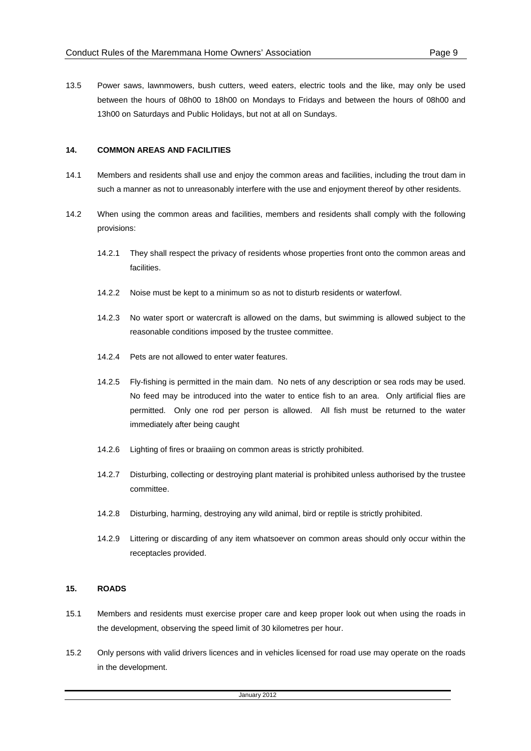13.5 Power saws, lawnmowers, bush cutters, weed eaters, electric tools and the like, may only be used between the hours of 08h00 to 18h00 on Mondays to Fridays and between the hours of 08h00 and 13h00 on Saturdays and Public Holidays, but not at all on Sundays.

### **14. COMMON AREAS AND FACILITIES**

- 14.1 Members and residents shall use and enjoy the common areas and facilities, including the trout dam in such a manner as not to unreasonably interfere with the use and enjoyment thereof by other residents.
- 14.2 When using the common areas and facilities, members and residents shall comply with the following provisions:
	- 14.2.1 They shall respect the privacy of residents whose properties front onto the common areas and facilities.
	- 14.2.2 Noise must be kept to a minimum so as not to disturb residents or waterfowl.
	- 14.2.3 No water sport or watercraft is allowed on the dams, but swimming is allowed subject to the reasonable conditions imposed by the trustee committee.
	- 14.2.4 Pets are not allowed to enter water features.
	- 14.2.5 Fly-fishing is permitted in the main dam. No nets of any description or sea rods may be used. No feed may be introduced into the water to entice fish to an area. Only artificial flies are permitted. Only one rod per person is allowed. All fish must be returned to the water immediately after being caught
	- 14.2.6 Lighting of fires or braaiing on common areas is strictly prohibited.
	- 14.2.7 Disturbing, collecting or destroying plant material is prohibited unless authorised by the trustee committee.
	- 14.2.8 Disturbing, harming, destroying any wild animal, bird or reptile is strictly prohibited.
	- 14.2.9 Littering or discarding of any item whatsoever on common areas should only occur within the receptacles provided.

#### **15. ROADS**

- 15.1 Members and residents must exercise proper care and keep proper look out when using the roads in the development, observing the speed limit of 30 kilometres per hour.
- 15.2 Only persons with valid drivers licences and in vehicles licensed for road use may operate on the roads in the development.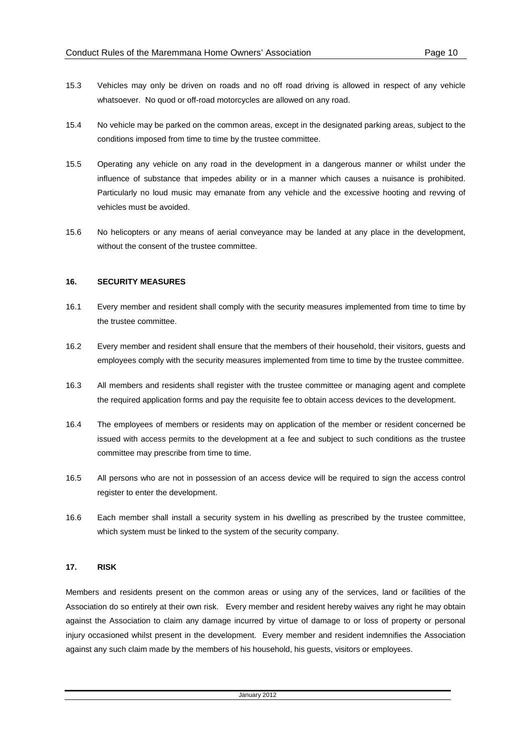- 15.3 Vehicles may only be driven on roads and no off road driving is allowed in respect of any vehicle whatsoever. No quod or off-road motorcycles are allowed on any road.
- 15.4 No vehicle may be parked on the common areas, except in the designated parking areas, subject to the conditions imposed from time to time by the trustee committee.
- 15.5 Operating any vehicle on any road in the development in a dangerous manner or whilst under the influence of substance that impedes ability or in a manner which causes a nuisance is prohibited. Particularly no loud music may emanate from any vehicle and the excessive hooting and revving of vehicles must be avoided.
- 15.6 No helicopters or any means of aerial conveyance may be landed at any place in the development, without the consent of the trustee committee.

### **16. SECURITY MEASURES**

- 16.1 Every member and resident shall comply with the security measures implemented from time to time by the trustee committee.
- 16.2 Every member and resident shall ensure that the members of their household, their visitors, guests and employees comply with the security measures implemented from time to time by the trustee committee.
- 16.3 All members and residents shall register with the trustee committee or managing agent and complete the required application forms and pay the requisite fee to obtain access devices to the development.
- 16.4 The employees of members or residents may on application of the member or resident concerned be issued with access permits to the development at a fee and subject to such conditions as the trustee committee may prescribe from time to time.
- 16.5 All persons who are not in possession of an access device will be required to sign the access control register to enter the development.
- 16.6 Each member shall install a security system in his dwelling as prescribed by the trustee committee, which system must be linked to the system of the security company.

### **17. RISK**

Members and residents present on the common areas or using any of the services, land or facilities of the Association do so entirely at their own risk. Every member and resident hereby waives any right he may obtain against the Association to claim any damage incurred by virtue of damage to or loss of property or personal injury occasioned whilst present in the development. Every member and resident indemnifies the Association against any such claim made by the members of his household, his guests, visitors or employees.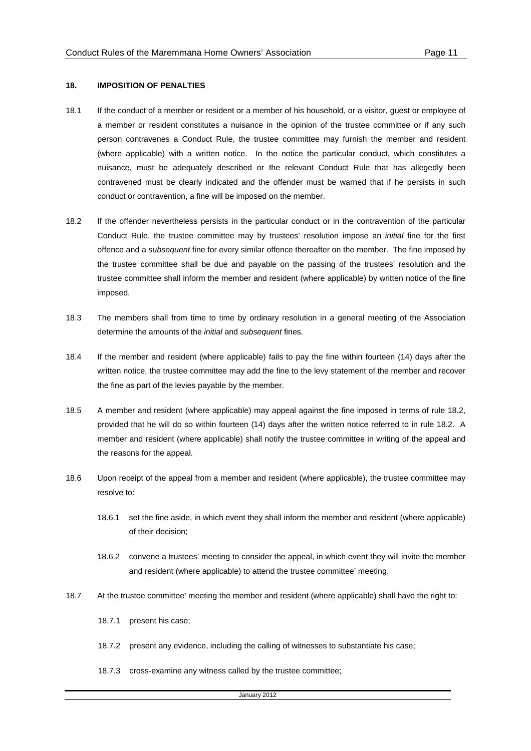#### **18. IMPOSITION OF PENALTIES**

- 18.1 If the conduct of a member or resident or a member of his household, or a visitor, guest or employee of a member or resident constitutes a nuisance in the opinion of the trustee committee or if any such person contravenes a Conduct Rule, the trustee committee may furnish the member and resident (where applicable) with a written notice. In the notice the particular conduct, which constitutes a nuisance, must be adequately described or the relevant Conduct Rule that has allegedly been contravened must be clearly indicated and the offender must be warned that if he persists in such conduct or contravention, a fine will be imposed on the member.
- 18.2 If the offender nevertheless persists in the particular conduct or in the contravention of the particular Conduct Rule, the trustee committee may by trustees' resolution impose an initial fine for the first offence and a subsequent fine for every similar offence thereafter on the member. The fine imposed by the trustee committee shall be due and payable on the passing of the trustees' resolution and the trustee committee shall inform the member and resident (where applicable) by written notice of the fine imposed.
- 18.3 The members shall from time to time by ordinary resolution in a general meeting of the Association determine the amounts of the *initial* and *subsequent* fines.
- 18.4 If the member and resident (where applicable) fails to pay the fine within fourteen (14) days after the written notice, the trustee committee may add the fine to the levy statement of the member and recover the fine as part of the levies payable by the member.
- 18.5 A member and resident (where applicable) may appeal against the fine imposed in terms of rule 18.2, provided that he will do so within fourteen (14) days after the written notice referred to in rule 18.2. A member and resident (where applicable) shall notify the trustee committee in writing of the appeal and the reasons for the appeal.
- 18.6 Upon receipt of the appeal from a member and resident (where applicable), the trustee committee may resolve to:
	- 18.6.1 set the fine aside, in which event they shall inform the member and resident (where applicable) of their decision;
	- 18.6.2 convene a trustees' meeting to consider the appeal, in which event they will invite the member and resident (where applicable) to attend the trustee committee' meeting.
- 18.7 At the trustee committee' meeting the member and resident (where applicable) shall have the right to:
	- 18.7.1 present his case;
	- 18.7.2 present any evidence, including the calling of witnesses to substantiate his case;
	- 18.7.3 cross-examine any witness called by the trustee committee;